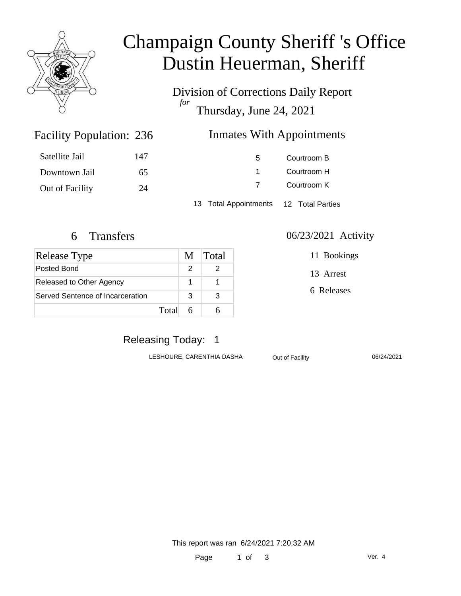

# Champaign County Sheriff 's Office Dustin Heuerman, Sheriff

Division of Corrections Daily Report *for* Thursday, June 24, 2021

### Inmates With Appointments

| Satellite Jail  | 147 | 5 | Courtroom B |
|-----------------|-----|---|-------------|
| Downtown Jail   | 65  |   | Courtroom H |
| Out of Facility | 24  |   | Courtroom K |
|                 |     |   |             |

13 Total Appointments 12 Total Parties

Facility Population: 236

| <b>Release Type</b>              | M | Total |
|----------------------------------|---|-------|
| Posted Bond                      |   |       |
| Released to Other Agency         |   |       |
| Served Sentence of Incarceration | З |       |
| Total                            |   |       |

#### 6 Transfers 06/23/2021 Activity

11 Bookings

13 Arrest

6 Releases

# Releasing Today: 1

LESHOURE, CARENTHIA DASHA Out of Facility 06/24/2021

This report was ran 6/24/2021 7:20:32 AM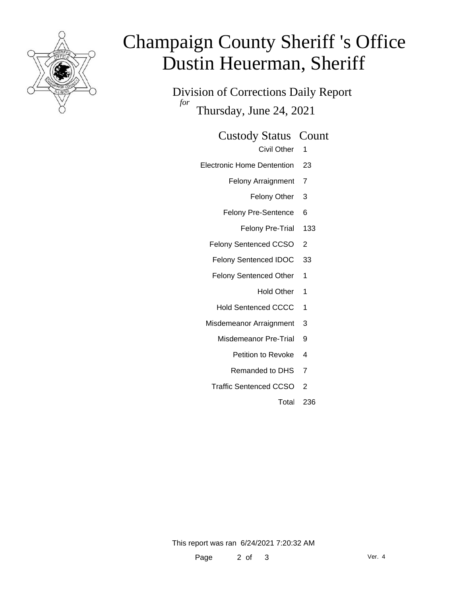

# Champaign County Sheriff 's Office Dustin Heuerman, Sheriff

Division of Corrections Daily Report *for* Thursday, June 24, 2021

#### Custody Status Count

- Civil Other 1
- Electronic Home Dentention 23
	- Felony Arraignment 7
		- Felony Other 3
	- Felony Pre-Sentence 6
		- Felony Pre-Trial 133
	- Felony Sentenced CCSO 2
	- Felony Sentenced IDOC 33
	- Felony Sentenced Other 1
		- Hold Other 1
	- Hold Sentenced CCCC 1
	- Misdemeanor Arraignment 3
		- Misdemeanor Pre-Trial 9
			- Petition to Revoke 4
			- Remanded to DHS 7
		- Traffic Sentenced CCSO 2
			- Total 236

This report was ran 6/24/2021 7:20:32 AM